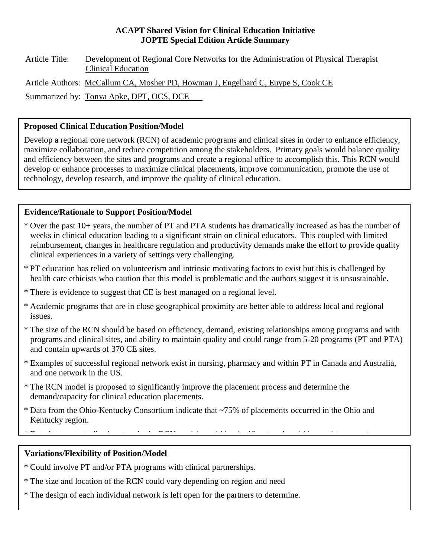#### **ACAPT Shared Vision for Clinical Education Initiative JOPTE Special Edition Article Summary**

Article Title: Development of Regional Core Networks for the Administration of Physical Therapist Clinical Education Article Authors: McCallum CA, Mosher PD, Howman J, Engelhard C, Euype S, Cook CE Summarized by: Tonya Apke, DPT, OCS, DCE

### **Proposed Clinical Education Position/Model**

Develop a regional core network (RCN) of academic programs and clinical sites in order to enhance efficiency, maximize collaboration, and reduce competition among the stakeholders. Primary goals would balance quality and efficiency between the sites and programs and create a regional office to accomplish this. This RCN would develop or enhance processes to maximize clinical placements, improve communication, promote the use of technology, develop research, and improve the quality of clinical education.

# **Evidence/Rationale to Support Position/Model**

- \* Over the past 10+ years, the number of PT and PTA students has dramatically increased as has the number of weeks in clinical education leading to a significant strain on clinical educators. This coupled with limited reimbursement, changes in healthcare regulation and productivity demands make the effort to provide quality clinical experiences in a variety of settings very challenging.
- \* PT education has relied on volunteerism and intrinsic motivating factors to exist but this is challenged by health care ethicists who caution that this model is problematic and the authors suggest it is unsustainable.
- \* There is evidence to suggest that CE is best managed on a regional level.
- \* Academic programs that are in close geographical proximity are better able to address local and regional issues.
- \* The size of the RCN should be based on efficiency, demand, existing relationships among programs and with programs and clinical sites, and ability to maintain quality and could range from 5-20 programs (PT and PTA) and contain upwards of 370 CE sites.
- \* Examples of successful regional network exist in nursing, pharmacy and within PT in Canada and Australia, and one network in the US.
- \* The RCN model is proposed to significantly improve the placement process and determine the demand/capacity for clinical education placements.
- \* Data from the Ohio-Kentucky Consortium indicate that ~75% of placements occurred in the Ohio and Kentucky region.

 $\frac{d}{dx}$  b  $\frac{d}{dx}$  is the d set in definition of the distribution of  $\frac{d}{dx}$  is the distribution of  $\frac{d}{dx}$  is the distribution of  $\frac{d}{dx}$  in  $\frac{d}{dx}$  is the distribution of  $\frac{d}{dx}$  is the distribution of  $\frac{$ 

#### $\overline{a}$ **Variations/Flexibility of Position/Model**

- \* Could involve PT and/or PTA programs with clinical partnerships.
- \* The size and location of the RCN could vary depending on region and need
- \* The design of each individual network is left open for the partners to determine.